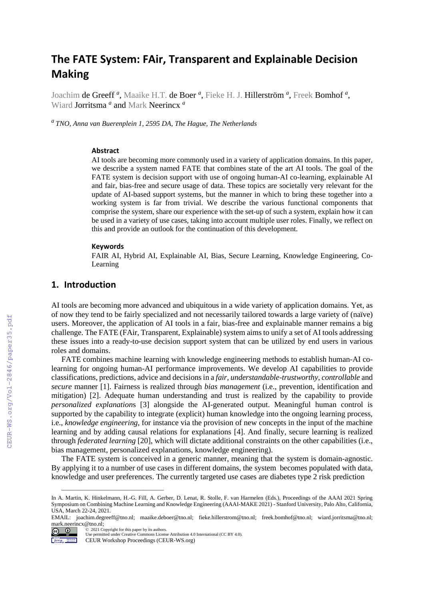# **The FATE System: FAir, Transparent and Explainable Decision Making**

Joachim de Greeff<sup>a</sup>, Maaike H.T. de Boer<sup>a</sup>, Fieke H. J. Hillerström<sup>a</sup>, Freek Bomhof<sup>a</sup>, Wiard Jorritsma *<sup>a</sup>* and Mark Neerincx *<sup>a</sup>*

*a TNO, Anna van Buerenplein 1, 2595 DA, The Hague, The Netherlands*

### **Abstract**

AI tools are becoming more commonly used in a variety of application domains. In this paper, we describe a system named FATE that combines state of the art AI tools. The goal of the FATE system is decision support with use of ongoing human-AI co-learning, explainable AI and fair, bias-free and secure usage of data. These topics are societally very relevant for the update of AI-based support systems, but the manner in which to bring these together into a working system is far from trivial. We describe the various functional components that comprise the system, share our experience with the set-up of such a system, explain how it can be used in a variety of use cases, taking into account multiple user roles. Finally, we reflect on this and provide an outlook for the continuation of this development.

#### **Keywords**

FAIR AI, Hybrid AI, Explainable AI, Bias, Secure Learning, Knowledge Engineering, Co-Learning

## **1. Introduction**

AI tools are becoming more advanced and ubiquitous in a wide variety of application domains. Yet, as of now they tend to be fairly specialized and not necessarily tailored towards a large variety of (naïve) users. Moreover, the application of AI tools in a fair, bias-free and explainable manner remains a big challenge. The FATE (FAir, Transparent, Explainable) system aims to unify a set of AI tools addressing these issues into a ready-to-use decision support system that can be utilized by end users in various roles and domains.

FATE combines machine learning with knowledge engineering methods to establish human-AI colearning for ongoing human-AI performance improvements. We develop AI capabilities to provide classifications, predictions, advice and decisions in a *fair, understandable*-*trustworthy*, *controllable* and *secure* manner [1]. Fairness is realized through *bias management* (i.e., prevention, identification and mitigation) [2]. Adequate human understanding and trust is realized by the capability to provide *personalized explanation*s [3] alongside the AI-generated output. Meaningful human control is supported by the capability to integrate (explicit) human knowledge into the ongoing learning process, i.e., *knowledge engineering,* for instance via the provision of new concepts in the input of the machine learning and by adding causal relations for explanations [4]. And finally, secure learning is realized through *federated learning* [20], which will dictate additional constraints on the other capabilities (i.e., bias management, personalized explanations, knowledge engineering).

The FATE system is conceived in a generic manner, meaning that the system is domain-agnostic. By applying it to a number of use cases in different domains, the system becomes populated with data, knowledge and user preferences. The currently targeted use cases are diabetes type 2 risk prediction

 $\frac{1}{\sqrt{2}}$  ,  $\frac{1}{\sqrt{2}}$  ,  $\frac{1}{\sqrt{2}}$  ,  $\frac{1}{\sqrt{2}}$  ,  $\frac{1}{\sqrt{2}}$  ,  $\frac{1}{\sqrt{2}}$  ,  $\frac{1}{\sqrt{2}}$  ,  $\frac{1}{\sqrt{2}}$  ,  $\frac{1}{\sqrt{2}}$  ,  $\frac{1}{\sqrt{2}}$  ,  $\frac{1}{\sqrt{2}}$  ,  $\frac{1}{\sqrt{2}}$  ,  $\frac{1}{\sqrt{2}}$  ,  $\frac{1}{\sqrt{2}}$  ,  $\frac{1}{\sqrt{2}}$ 

In A. Martin, K. Hinkelmann, H.-G. Fill, A. Gerber, D. Lenat, R. Stolle, F. van Harmelen (Eds.), Proceedings of the AAAI 2021 Spring Symposium on Combining Machine Learning and Knowledge Engineering (AAAI-MAKE 2021) - Stanford University, Palo Alto, California, USA, March 22-24, 2021.

EMAIL: joachim.degreeff@tno.nl; maaike.deboer@tno.nl; [fieke.hillerstrom@tno.nl;](mailto:fieke.hillerstrom@tno.nl) [freek.bomhof@tno.nl;](mailto:freek.bomhof@tno.nl) [wiard.jorritsma@tno.nl;](mailto:wiard.jorritsma@tno.nl) [mark.neerincx@tno.nl;](mailto:mark.neerincx@tno.nl)<br>  $\bigodot$  0 2021 Co

<sup>©️</sup> 2021 Copyright for this paper by its authors. Use permitted under Creative Commons License Attribution 4.0 International (CC BY 4.0). Violastop the tensor<br>Properties an insects

CEUR Workshop Proceedings (CEUR-WS.org)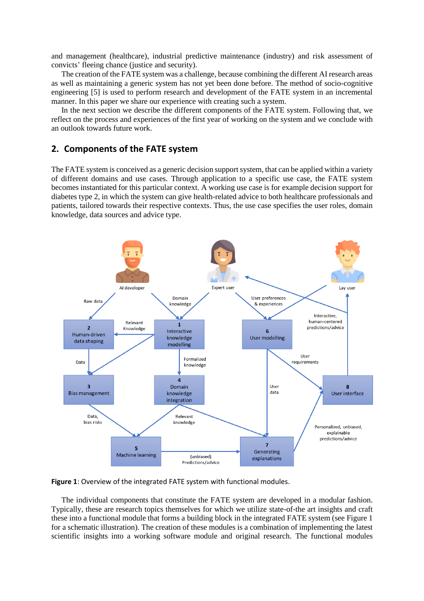and management (healthcare), industrial predictive maintenance (industry) and risk assessment of convicts' fleeing chance (justice and security).

The creation of the FATE system was a challenge, because combining the different AI research areas as well as maintaining a generic system has not yet been done before. The method of socio-cognitive engineering [5] is used to perform research and development of the FATE system in an incremental manner. In this paper we share our experience with creating such a system.

In the next section we describe the different components of the FATE system. Following that, we reflect on the process and experiences of the first year of working on the system and we conclude with an outlook towards future work.

# **2. Components of the FATE system**

The FATE system is conceived as a generic decision support system, that can be applied within a variety of different domains and use cases. Through application to a specific use case, the FATE system becomes instantiated for this particular context. A working use case is for example decision support for diabetes type 2, in which the system can give health-related advice to both healthcare professionals and patients, tailored towards their respective contexts. Thus, the use case specifies the user roles, domain knowledge, data sources and advice type.



**Figure 1**: Overview of the integrated FATE system with functional modules.

The individual components that constitute the FATE system are developed in a modular fashion. Typically, these are research topics themselves for which we utilize state-of-the art insights and craft these into a functional module that forms a building block in the integrated FATE system (see Figure 1 for a schematic illustration). The creation of these modules is a combination of implementing the latest scientific insights into a working software module and original research. The functional modules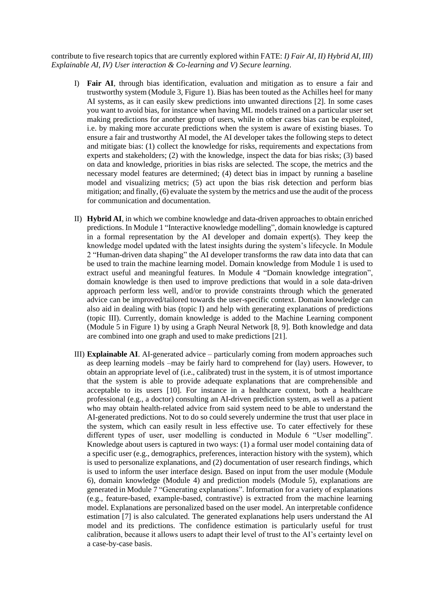contribute to five research topics that are currently explored within FATE: *I) Fair AI, II) Hybrid AI, III) Explainable AI, IV) User interaction & Co-learning and V) Secure learning*.

- I) **Fair AI**, through bias identification, evaluation and mitigation as to ensure a fair and trustworthy system (Module 3, Figure 1). Bias has been touted as the Achilles heel for many AI systems, as it can easily skew predictions into unwanted directions [2]. In some cases you want to avoid bias, for instance when having ML models trained on a particular user set making predictions for another group of users, while in other cases bias can be exploited, i.e. by making more accurate predictions when the system is aware of existing biases. To ensure a fair and trustworthy AI model, the AI developer takes the following steps to detect and mitigate bias: (1) collect the knowledge for risks, requirements and expectations from experts and stakeholders; (2) with the knowledge, inspect the data for bias risks; (3) based on data and knowledge, priorities in bias risks are selected. The scope, the metrics and the necessary model features are determined; (4) detect bias in impact by running a baseline model and visualizing metrics; (5) act upon the bias risk detection and perform bias mitigation; and finally, (6) evaluate the system by the metrics and use the audit of the process for communication and documentation.
- II) **Hybrid AI**, in which we combine knowledge and data-driven approaches to obtain enriched predictions. In Module 1 "Interactive knowledge modelling", domain knowledge is captured in a formal representation by the AI developer and domain expert(s). They keep the knowledge model updated with the latest insights during the system's lifecycle. In Module 2 "Human-driven data shaping" the AI developer transforms the raw data into data that can be used to train the machine learning model. Domain knowledge from Module 1 is used to extract useful and meaningful features. In Module 4 "Domain knowledge integration", domain knowledge is then used to improve predictions that would in a sole data-driven approach perform less well, and/or to provide constraints through which the generated advice can be improved/tailored towards the user-specific context. Domain knowledge can also aid in dealing with bias (topic I) and help with generating explanations of predictions (topic III). Currently, domain knowledge is added to the Machine Learning component (Module 5 in Figure 1) by using a Graph Neural Network [8, 9]. Both knowledge and data are combined into one graph and used to make predictions [21].
- III) **Explainable AI**. AI-generated advice particularly coming from modern approaches such as deep learning models –may be fairly hard to comprehend for (lay) users. However, to obtain an appropriate level of (i.e., calibrated) trust in the system, it is of utmost importance that the system is able to provide adequate explanations that are comprehensible and acceptable to its users [10]. For instance in a healthcare context, both a healthcare professional (e.g., a doctor) consulting an AI-driven prediction system, as well as a patient who may obtain health-related advice from said system need to be able to understand the AI-generated predictions. Not to do so could severely undermine the trust that user place in the system, which can easily result in less effective use. To cater effectively for these different types of user, user modelling is conducted in Module 6 "User modelling". Knowledge about users is captured in two ways: (1) a formal user model containing data of a specific user (e.g., demographics, preferences, interaction history with the system), which is used to personalize explanations, and (2) documentation of user research findings, which is used to inform the user interface design. Based on input from the user module (Module 6), domain knowledge (Module 4) and prediction models (Module 5), explanations are generated in Module 7 "Generating explanations". Information for a variety of explanations (e.g., feature-based, example-based, contrastive) is extracted from the machine learning model. Explanations are personalized based on the user model. An interpretable confidence estimation [7] is also calculated. The generated explanations help users understand the AI model and its predictions. The confidence estimation is particularly useful for trust calibration, because it allows users to adapt their level of trust to the AI's certainty level on a case-by-case basis.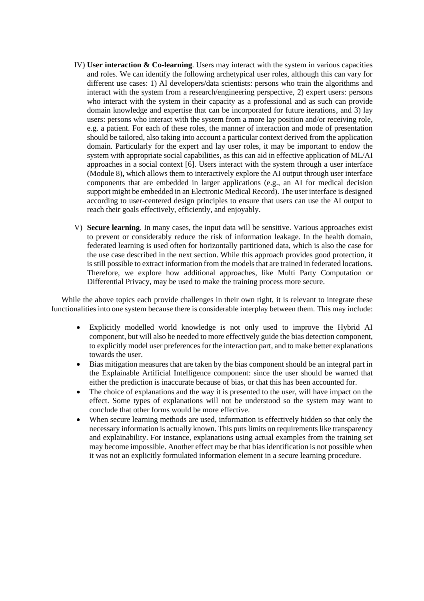- IV) **User interaction & Co-learning**. Users may interact with the system in various capacities and roles. We can identify the following archetypical user roles, although this can vary for different use cases: 1) AI developers/data scientists: persons who train the algorithms and interact with the system from a research/engineering perspective, 2) expert users: persons who interact with the system in their capacity as a professional and as such can provide domain knowledge and expertise that can be incorporated for future iterations, and 3) lay users: persons who interact with the system from a more lay position and/or receiving role, e.g. a patient. For each of these roles, the manner of interaction and mode of presentation should be tailored, also taking into account a particular context derived from the application domain. Particularly for the expert and lay user roles, it may be important to endow the system with appropriate social capabilities, as this can aid in effective application of ML/AI approaches in a social context [6]. Users interact with the system through a user interface (Module 8)**,** which allows them to interactively explore the AI output through user interface components that are embedded in larger applications (e.g., an AI for medical decision support might be embedded in an Electronic Medical Record). The user interface is designed according to user-centered design principles to ensure that users can use the AI output to reach their goals effectively, efficiently, and enjoyably.
- V) **Secure learning**. In many cases, the input data will be sensitive. Various approaches exist to prevent or considerably reduce the risk of information leakage. In the health domain, federated learning is used often for horizontally partitioned data, which is also the case for the use case described in the next section. While this approach provides good protection, it is still possible to extract information from the models that are trained in federated locations. Therefore, we explore how additional approaches, like Multi Party Computation or Differential Privacy, may be used to make the training process more secure.

While the above topics each provide challenges in their own right, it is relevant to integrate these functionalities into one system because there is considerable interplay between them. This may include:

- Explicitly modelled world knowledge is not only used to improve the Hybrid AI component, but will also be needed to more effectively guide the bias detection component, to explicitly model user preferences for the interaction part, and to make better explanations towards the user.
- Bias mitigation measures that are taken by the bias component should be an integral part in the Explainable Artificial Intelligence component: since the user should be warned that either the prediction is inaccurate because of bias, or that this has been accounted for.
- The choice of explanations and the way it is presented to the user, will have impact on the effect. Some types of explanations will not be understood so the system may want to conclude that other forms would be more effective.
- When secure learning methods are used, information is effectively hidden so that only the necessary information is actually known. This puts limits on requirements like transparency and explainability. For instance, explanations using actual examples from the training set may become impossible. Another effect may be that bias identification is not possible when it was not an explicitly formulated information element in a secure learning procedure.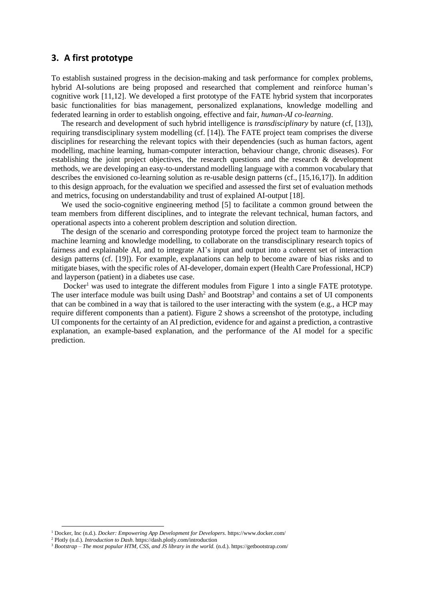## **3. A first prototype**

To establish sustained progress in the decision-making and task performance for complex problems, hybrid AI-solutions are being proposed and researched that complement and reinforce human's cognitive work [11,12]. We developed a first prototype of the FATE hybrid system that incorporates basic functionalities for bias management, personalized explanations, knowledge modelling and federated learning in order to establish ongoing, effective and fair, *human-AI co-learning*.

The research and development of such hybrid intelligence is *transdisciplinary* by nature (cf, [13]), requiring transdisciplinary system modelling (cf. [14]). The FATE project team comprises the diverse disciplines for researching the relevant topics with their dependencies (such as human factors, agent modelling, machine learning, human-computer interaction, behaviour change, chronic diseases). For establishing the joint project objectives, the research questions and the research & development methods, we are developing an easy-to-understand modelling language with a common vocabulary that describes the envisioned co-learning solution as re-usable design patterns (cf., [15,16,17]). In addition to this design approach, for the evaluation we specified and assessed the first set of evaluation methods and metrics, focusing on understandability and trust of explained AI-output [18].

We used the socio-cognitive engineering method [5] to facilitate a common ground between the team members from different disciplines, and to integrate the relevant technical, human factors, and operational aspects into a coherent problem description and solution direction.

The design of the scenario and corresponding prototype forced the project team to harmonize the machine learning and knowledge modelling, to collaborate on the transdisciplinary research topics of fairness and explainable AI, and to integrate AI's input and output into a coherent set of interaction design patterns (cf. [19]). For example, explanations can help to become aware of bias risks and to mitigate biases, with the specific roles of AI-developer, domain expert (Health Care Professional, HCP) and layperson (patient) in a diabetes use case.

Docker<sup>1</sup> was used to integrate the different modules from Figure 1 into a single FATE prototype. The user interface module was built using  $Dash<sup>2</sup>$  and Bootstrap<sup>3</sup> and contains a set of UI components that can be combined in a way that is tailored to the user interacting with the system (e.g., a HCP may require different components than a patient). Figure 2 shows a screenshot of the prototype, including UI components for the certainty of an AI prediction, evidence for and against a prediction, a contrastive explanation, an example-based explanation, and the performance of the AI model for a specific prediction.

<sup>1</sup> Docker, Inc (n.d.). *Docker: Empowering App Development for Developers.* https://www.docker.com/

<sup>2</sup> Plotly (n.d.). *Introduction to Dash*. https://dash.plotly.com/introduction

<sup>3</sup> *Bootstrap – The most popular HTM, CSS, and JS library in the world.* (n.d.). https://getbootstrap.com/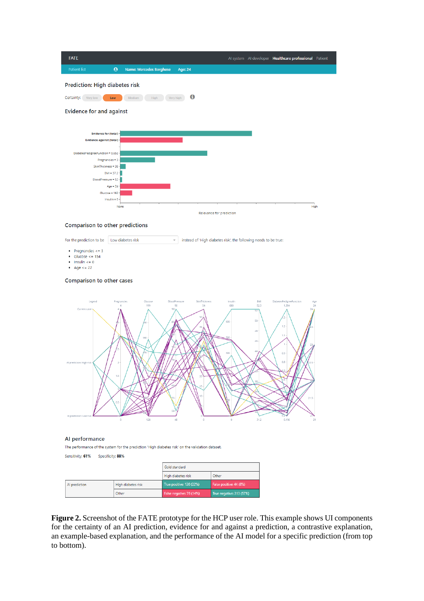



#### Al performance

The performance of the system for the prediction 'High diabetes risk' on the validation dataset.

Sensitivity: 61% Specificity: 88%

|               |                    | Gold standard            |                          |
|---------------|--------------------|--------------------------|--------------------------|
|               |                    | High diabetes risk       | Other                    |
| Al prediction | High diabetes risk | True positive: 120 (22%) | False positive: 44 (8%)  |
|               | Other              | False negative: 76 (14%) | True negative: 313 (57%) |

**Figure 2.** Screenshot of the FATE prototype for the HCP user role. This example shows UI components for the certainty of an AI prediction, evidence for and against a prediction, a contrastive explanation, an example-based explanation, and the performance of the AI model for a specific prediction (from top to bottom).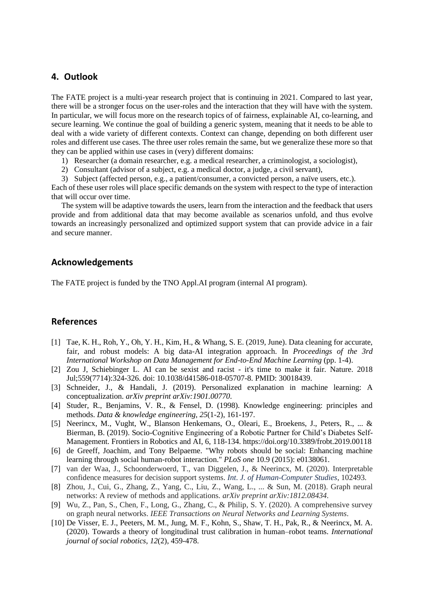# **4. Outlook**

The FATE project is a multi-year research project that is continuing in 2021. Compared to last year, there will be a stronger focus on the user-roles and the interaction that they will have with the system. In particular, we will focus more on the research topics of of fairness, explainable AI, co-learning, and secure learning. We continue the goal of building a generic system, meaning that it needs to be able to deal with a wide variety of different contexts. Context can change, depending on both different user roles and different use cases. The three user roles remain the same, but we generalize these more so that they can be applied within use cases in (very) different domains:

- 1) Researcher (a domain researcher, e.g. a medical researcher, a criminologist, a sociologist),
- 2) Consultant (advisor of a subject, e.g. a medical doctor, a judge, a civil servant),
- 3) Subject (affected person, e.g., a patient/consumer, a convicted person, a naïve users, etc.).

Each of these user roles will place specific demands on the system with respect to the type of interaction that will occur over time.

The system will be adaptive towards the users, learn from the interaction and the feedback that users provide and from additional data that may become available as scenarios unfold, and thus evolve towards an increasingly personalized and optimized support system that can provide advice in a fair and secure manner.

# **Acknowledgements**

The FATE project is funded by the TNO Appl.AI program (internal AI program).

# **References**

- [1] Tae, K. H., Roh, Y., Oh, Y. H., Kim, H., & Whang, S. E. (2019, June). Data cleaning for accurate, fair, and robust models: A big data-AI integration approach. In *Proceedings of the 3rd International Workshop on Data Management for End-to-End Machine Learning* (pp. 1-4).
- [2] Zou J, Schiebinger L. AI can be sexist and racist it's time to make it fair. Nature. 2018 Jul;559(7714):324-326. doi: 10.1038/d41586-018-05707-8. PMID: 30018439.
- [3] Schneider, J., & Handali, J. (2019). Personalized explanation in machine learning: A conceptualization. *arXiv preprint arXiv:1901.00770*.
- [4] Studer, R., Benjamins, V. R., & Fensel, D. (1998). Knowledge engineering: principles and methods. *Data & knowledge engineering*, *25*(1-2), 161-197.
- [5] Neerincx, M., Vught, W., Blanson Henkemans, O., Oleari, E., Broekens, J., Peters, R., ... & Bierman, B. (2019). Socio-Cognitive Engineering of a Robotic Partner for Child's Diabetes Self-Management. Frontiers in Robotics and AI, 6, 118-134. https://doi.org/10.3389/frobt.2019.00118
- [6] de Greeff, Joachim, and Tony Belpaeme. "Why robots should be social: Enhancing machine learning through social human-robot interaction." *PLoS one* 10.9 (2015): e0138061.
- [7] van der Waa, J., Schoonderwoerd, T., van Diggelen, J., & Neerincx, M. (2020). Interpretable confidence measures for decision support systems. *Int. J. of Human-Computer Studies*, 102493.
- [8] Zhou, J., Cui, G., Zhang, Z., Yang, C., Liu, Z., Wang, L., ... & Sun, M. (2018). Graph neural networks: A review of methods and applications. *arXiv preprint arXiv:1812.08434*.
- [9] Wu, Z., Pan, S., Chen, F., Long, G., Zhang, C., & Philip, S. Y. (2020). A comprehensive survey on graph neural networks. *IEEE Transactions on Neural Networks and Learning Systems*.
- [10] De Visser, E. J., Peeters, M. M., Jung, M. F., Kohn, S., Shaw, T. H., Pak, R., & Neerincx, M. A. (2020). Towards a theory of longitudinal trust calibration in human–robot teams. *International journal of social robotics*, *12*(2), 459-478.